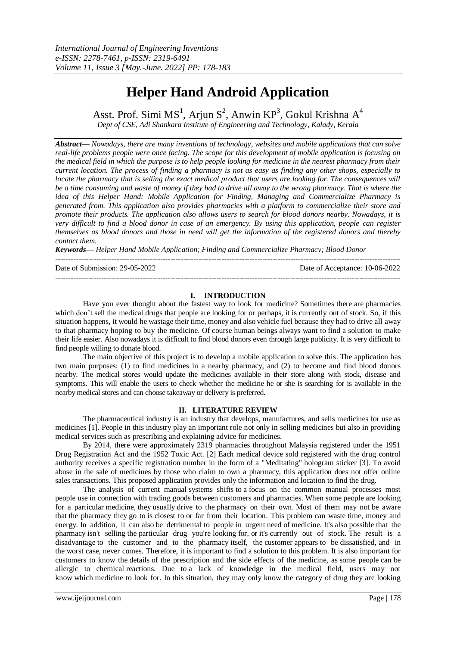# **Helper Hand Android Application**

Asst. Prof. Simi  $MS^1$ , Arjun  $S^2$ , Anwin KP<sup>3</sup>, Gokul Krishna A<sup>4</sup>

*Dept of CSE, Adi Shankara Institute of Engineering and Technology, Kalady, Kerala* 

*Abstract— Nowadays, there are many inventions of technology, websites and mobile applications that can solve real-life problems people were once facing. The scope for this development of mobile application is focusing on the medical field in which the purpose is to help people looking for medicine in the nearest pharmacy from their current location. The process of finding a pharmacy is not as easy as finding any other shops, especially to locate the pharmacy that is selling the exact medical product that users are looking for. The consequences will be a time consuming and waste of money if they had to drive all away to the wrong pharmacy. That is where the idea of this Helper Hand: Mobile Application for Finding, Managing and Commercialize Pharmacy is generated from. This application also provides pharmacies with a platform to commercialize their store and promote their products. The application also allows users to search for blood donors nearby. Nowadays, it is very difficult to find a blood donor in case of an emergency. By using this application, people can register themselves as blood donors and those in need will get the information of the registered donors and thereby contact them.*

*Keywords— Helper Hand Mobile Application; Finding and Commercialize Pharmacy; Blood Donor*

--------------------------------------------------------------------------------------------------------------------------------------- Date of Submission: 29-05-2022 Date of Acceptance: 10-06-2022 ---------------------------------------------------------------------------------------------------------------------------------------

# **I. INTRODUCTION**

Have you ever thought about the fastest way to look for medicine? Sometimes there are pharmacies which don't sell the medical drugs that people are looking for or perhaps, it is currently out of stock. So, if this situation happens, it would he wastage their time, money and also vehicle fuel because they had to drive all away to that pharmacy hoping to buy the medicine. Of course human beings always want to find a solution to make their life easier. Also nowadays it is difficult to find blood donors even through large publicity. It is very difficult to find people willing to donate blood.

The main objective of this project is to develop a mobile application to solve this. The application has two main purposes: (1) to find medicines in a nearby pharmacy, and (2) to become and find blood donors nearby. The medical stores would update the medicines available in their store along with stock, disease and symptoms. This will enable the users to check whether the medicine he or she is searching for is available in the nearby medical stores and can choose takeaway or delivery is preferred.

#### **II. LITERATURE REVIEW**

The pharmaceutical industry is an industry that develops, manufactures, and sells medicines for use as medicines [1]. People in this industry play an important role not only in selling medicines but also in providing medical services such as prescribing and explaining advice for medicines.

By 2014, there were approximately 2319 pharmacies throughout Malaysia registered under the 1951 Drug Registration Act and the 1952 Toxic Act. [2] Each medical device sold registered with the drug control authority receives a specific registration number in the form of a "Meditating" hologram sticker [3]. To avoid abuse in the sale of medicines by those who claim to own a pharmacy, this application does not offer online sales transactions. This proposed application provides only the information and location to find the drug.

The analysis of current manual systems shifts to a focus on the common manual processes most people use in connection with trading goods between customers and pharmacies. When some people are looking for a particular medicine, they usually drive to the pharmacy on their own. Most of them may not be aware that the pharmacy they go to is closest to or far from their location. This problem can waste time, money and energy. In addition, it can also be detrimental to people in urgent need of medicine. It's also possible that the pharmacy isn't selling the particular drug you're looking for, or it's currently out of stock. The result is a disadvantage to the customer and to the pharmacy itself, the customer appears to be dissatisfied, and in the worst case, never comes. Therefore, it is important to find a solution to this problem. It is also important for customers to know the details of the prescription and the side effects of the medicine, as some people can be allergic to chemical reactions. Due to a lack of knowledge in the medical field, users may not know which medicine to look for. In this situation, they may only know the category of drug they are looking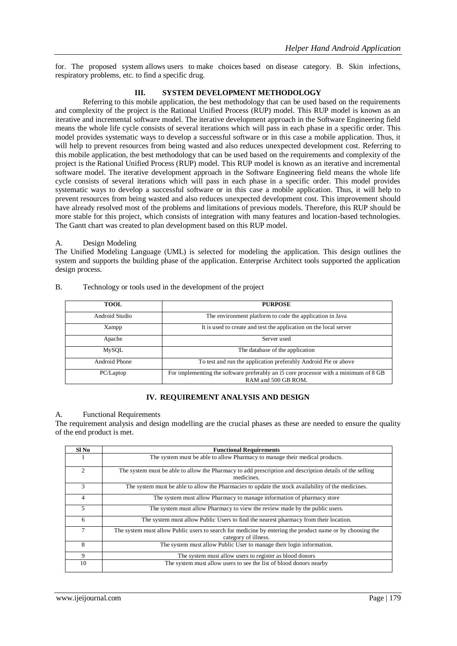for. The proposed system allows users to make choices based on disease category. B. Skin infections, respiratory problems, etc. to find a specific drug.

# **III. SYSTEM DEVELOPMENT METHODOLOGY**

Referring to this mobile application, the best methodology that can be used based on the requirements and complexity of the project is the Rational Unified Process (RUP) model. This RUP model is known as an iterative and incremental software model. The iterative development approach in the Software Engineering field means the whole life cycle consists of several iterations which will pass in each phase in a specific order. This model provides systematic ways to develop a successful software or in this case a mobile application. Thus, it will help to prevent resources from being wasted and also reduces unexpected development cost. Referring to this mobile application, the best methodology that can be used based on the requirements and complexity of the project is the Rational Unified Process (RUP) model. This RUP model is known as an iterative and incremental software model. The iterative development approach in the Software Engineering field means the whole life cycle consists of several iterations which will pass in each phase in a specific order. This model provides systematic ways to develop a successful software or in this case a mobile application. Thus, it will help to prevent resources from being wasted and also reduces unexpected development cost. This improvement should have already resolved most of the problems and limitations of previous models. Therefore, this RUP should be more stable for this project, which consists of integration with many features and location-based technologies. The Gantt chart was created to plan development based on this RUP model.

#### A. Design Modeling

The Unified Modeling Language (UML) is selected for modeling the application. This design outlines the system and supports the building phase of the application. Enterprise Architect tools supported the application design process.

| <b>TOOL</b>    | <b>PURPOSE</b>                                                                                              |  |  |  |  |
|----------------|-------------------------------------------------------------------------------------------------------------|--|--|--|--|
| Android Studio | The environment platform to code the application in Java                                                    |  |  |  |  |
| Xampp          | It is used to create and test the application on the local server                                           |  |  |  |  |
| Apache         | Server used                                                                                                 |  |  |  |  |
| MySOL          | The database of the application                                                                             |  |  |  |  |
| Android Phone  | To test and run the application preferably Android Pie or above                                             |  |  |  |  |
| PC/Laptop      | For implementing the software preferably an i5 core processor with a minimum of 8 GB<br>RAM and 500 GB ROM. |  |  |  |  |

# B. Technology or tools used in the development of the project

#### **IV. REQUIREMENT ANALYSIS AND DESIGN**

#### A. Functional Requirements

The requirement analysis and design modelling are the crucial phases as these are needed to ensure the quality of the end product is met.

| Sl No          | <b>Functional Requirements</b>                                                                                                    |  |  |  |  |  |
|----------------|-----------------------------------------------------------------------------------------------------------------------------------|--|--|--|--|--|
|                | The system must be able to allow Pharmacy to manage their medical products.                                                       |  |  |  |  |  |
| $\mathfrak{D}$ | The system must be able to allow the Pharmacy to add prescription and description details of the selling<br>medicines.            |  |  |  |  |  |
| $\mathcal{F}$  | The system must be able to allow the Pharmacies to update the stock availability of the medicines.                                |  |  |  |  |  |
| 4              | The system must allow Pharmacy to manage information of pharmacy store                                                            |  |  |  |  |  |
| 5.             | The system must allow Pharmacy to view the review made by the public users.                                                       |  |  |  |  |  |
| 6              | The system must allow Public Users to find the nearest pharmacy from their location.                                              |  |  |  |  |  |
| 7              | The system must allow Public users to search for medicine by entering the product name or by choosing the<br>category of illness. |  |  |  |  |  |
| 8              | The system must allow Public User to manage their login information.                                                              |  |  |  |  |  |
| 9              | The system must allow users to register as blood donors                                                                           |  |  |  |  |  |
| 10             | The system must allow users to see the list of blood donors nearby                                                                |  |  |  |  |  |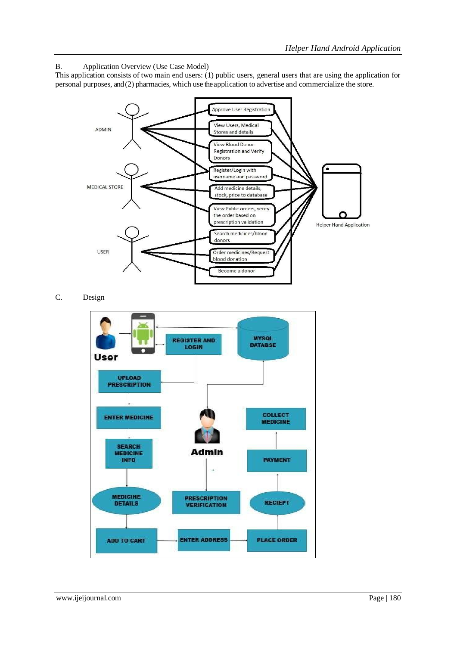B. Application Overview (Use Case Model)

This application consists of two main end users: (1) public users, general users that are using the application for personal purposes, and (2) pharmacies, which use the application to advertise and commercialize the store.



C. Design

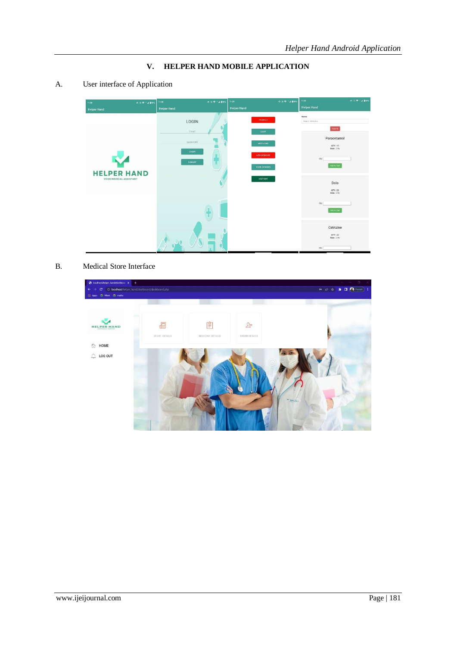**V. HELPER HAND MOBILE APPLICATION**

A. User interface of Application



B. Medical Store Interface

| @ localhost/helper_hand/dashboar X +                                            |                    |                       |                                   | $\sigma$ .<br>$\mathbb{R}$<br>over the con-                                                                                                                   |
|---------------------------------------------------------------------------------|--------------------|-----------------------|-----------------------------------|---------------------------------------------------------------------------------------------------------------------------------------------------------------|
| C © localhost/helper_hand/dashboard/dashboard.php<br>$\leftarrow$ $\rightarrow$ |                    |                       |                                   | $\begin{tabular}{lllllllllllllllllllll} \hline $\circ$ & $\circled{\in}$ & $\bullet$ & $\bullet$ & $\bullet$ & $\bullet$ & $\bullet$ \\ \hline \end{tabular}$ |
| H Apps C Meet C maths<br><b>HELPER HAND</b><br>合<br>HOME<br>LOG OUT<br>₽        | đ<br>STORE DETAILS | Ê<br>MEDICINE DETAILS | $\mathfrak{L}^+$<br>ORDER DETAILS |                                                                                                                                                               |
|                                                                                 |                    |                       |                                   |                                                                                                                                                               |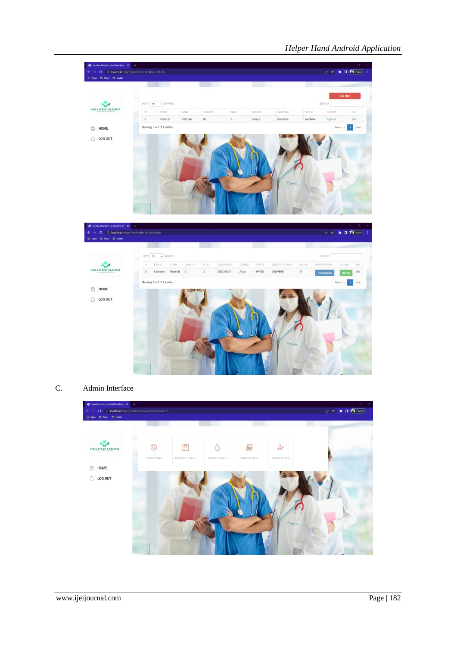

# C. Admin Interface